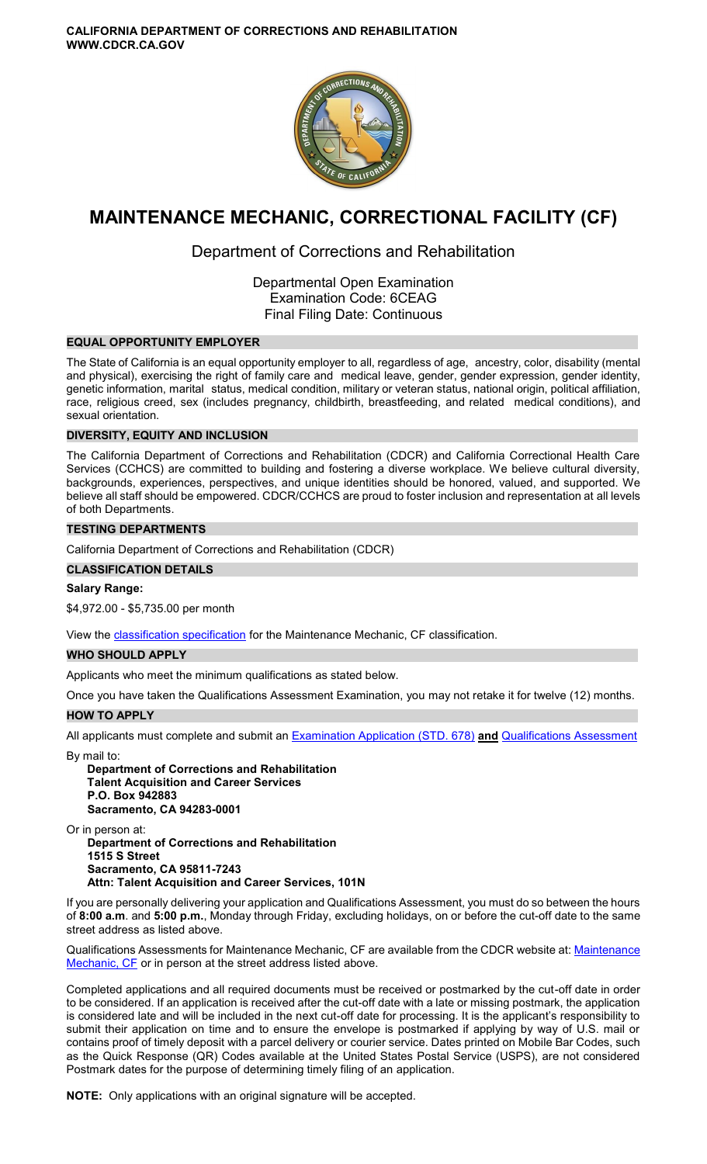

# **MAINTENANCE MECHANIC, CORRECTIONAL FACILITY (CF)**

## Department of Corrections and Rehabilitation

Departmental Open Examination Examination Code: 6CEAG Final Filing Date: Continuous

## **EQUAL OPPORTUNITY EMPLOYER**

The State of California is an equal opportunity employer to all, regardless of age, ancestry, color, disability (mental and physical), exercising the right of family care and medical leave, gender, gender expression, gender identity, genetic information, marital status, medical condition, military or veteran status, national origin, political affiliation, race, religious creed, sex (includes pregnancy, childbirth, breastfeeding, and related medical conditions), and sexual orientation.

## **DIVERSITY, EQUITY AND INCLUSION**

The California Department of Corrections and Rehabilitation (CDCR) and California Correctional Health Care Services (CCHCS) are committed to building and fostering a diverse workplace. We believe cultural diversity, backgrounds, experiences, perspectives, and unique identities should be honored, valued, and supported. We believe all staff should be empowered. CDCR/CCHCS are proud to foster inclusion and representation at all levels of both Departments.

## **TESTING DEPARTMENTS**

California Department of Corrections and Rehabilitation (CDCR)

## **CLASSIFICATION DETAILS**

## **Salary Range:**

\$4,972.00 - \$5,735.00 per month

View the [classification specification](http://www.calhr.ca.gov/state-hr-professionals/pages/6941.aspx) for the Maintenance Mechanic, CF classification.

## **WHO SHOULD APPLY**

Applicants who meet the minimum qualifications as stated below.

Once you have taken the Qualifications Assessment Examination, you may not retake it for twelve (12) months.

## **HOW TO APPLY**

All applicants must complete and submit an [Examination Application \(STD. 678\)](https://jobs.ca.gov/pdf/STD678.pdf) **and** [Qualifications Assessment](https://www.cdcr.ca.gov/careers/maintmechanicqacf-o-c/) 

By mail to:

**Department of Corrections and Rehabilitation Talent Acquisition and Career Services P.O. Box 942883 Sacramento, CA 94283-0001** 

Or in person at:

**Department of Corrections and Rehabilitation 1515 S Street Sacramento, CA 95811-7243 Attn: Talent Acquisition and Career Services, 101N** 

If you are personally delivering your application and Qualifications Assessment, you must do so between the hours of **8:00 a.m**. and **5:00 p.m.**, Monday through Friday, excluding holidays, on or before the cut-off date to the same street address as listed above.

Qualifications Assessments for [Maintenance](https://www.cdcr.ca.gov/careers/wp-content/uploads/sites/164/2020/04/MaintMechanicQA.pdf) Mechanic, CF are available from the CDCR website at: Maintenance [Mechanic, CF](https://www.cdcr.ca.gov/careers/wp-content/uploads/sites/164/2020/04/MaintMechanicQA.pdf) or in person at the street address listed above.

Completed applications and all required documents must be received or postmarked by the cut-off date in order to be considered. If an application is received after the cut-off date with a late or missing postmark, the application is considered late and will be included in the next cut-off date for processing. It is the applicant's responsibility to submit their application on time and to ensure the envelope is postmarked if applying by way of U.S. mail or contains proof of timely deposit with a parcel delivery or courier service. Dates printed on Mobile Bar Codes, such as the Quick Response (QR) Codes available at the United States Postal Service (USPS), are not considered Postmark dates for the purpose of determining timely filing of an application.

**NOTE:** Only applications with an original signature will be accepted.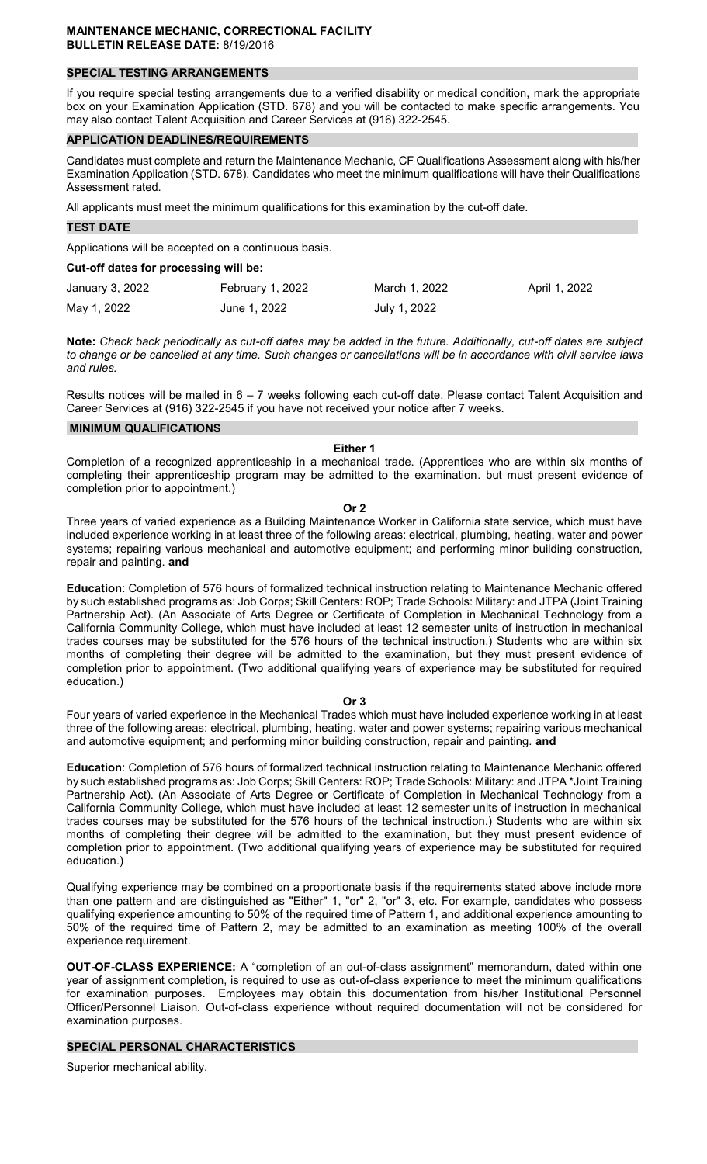## **SPECIAL TESTING ARRANGEMENTS**

If you require special testing arrangements due to a verified disability or medical condition, mark the appropriate box on your Examination Application (STD. 678) and you will be contacted to make specific arrangements. You may also contact Talent Acquisition and Career Services at (916) 322-2545.

## **APPLICATION DEADLINES/REQUIREMENTS**

Candidates must complete and return the Maintenance Mechanic, CF Qualifications Assessment along with his/her Examination Application (STD. 678). Candidates who meet the minimum qualifications will have their Qualifications Assessment rated.

All applicants must meet the minimum qualifications for this examination by the cut-off date.

#### **TEST DATE**

Applications will be accepted on a continuous basis.

#### **Cut-off dates for processing will be:**

| January 3, 2022 | February 1, 2022 | March 1, 2022 | April 1, 2022 |
|-----------------|------------------|---------------|---------------|
| May 1, 2022     | June 1, 2022     | July 1, 2022  |               |

**Note:** *Check back periodically as cut-off dates may be added in the future. Additionally, cut-off dates are subject to change or be cancelled at any time. Such changes or cancellations will be in accordance with civil service laws and rules.* 

Results notices will be mailed in 6 – 7 weeks following each cut-off date. Please contact Talent Acquisition and Career Services at (916) 322-2545 if you have not received your notice after 7 weeks.

#### **MINIMUM QUALIFICATIONS**

#### **Either 1**

Completion of a recognized apprenticeship in a mechanical trade. (Apprentices who are within six months of completing their apprenticeship program may be admitted to the examination. but must present evidence of completion prior to appointment.)

**Or 2** 

Three years of varied experience as a Building Maintenance Worker in California state service, which must have included experience working in at least three of the following areas: electrical, plumbing, heating, water and power systems; repairing various mechanical and automotive equipment; and performing minor building construction, repair and painting. **and** 

**Education**: Completion of 576 hours of formalized technical instruction relating to Maintenance Mechanic offered by such established programs as: Job Corps; Skill Centers: ROP; Trade Schools: Military: and JTPA (Joint Training Partnership Act). (An Associate of Arts Degree or Certificate of Completion in Mechanical Technology from a California Community College, which must have included at least 12 semester units of instruction in mechanical trades courses may be substituted for the 576 hours of the technical instruction.) Students who are within six months of completing their degree will be admitted to the examination, but they must present evidence of completion prior to appointment. (Two additional qualifying years of experience may be substituted for required education.)

#### **Or 3**

Four years of varied experience in the Mechanical Trades which must have included experience working in at least three of the following areas: electrical, plumbing, heating, water and power systems; repairing various mechanical and automotive equipment; and performing minor building construction, repair and painting. **and** 

**Education**: Completion of 576 hours of formalized technical instruction relating to Maintenance Mechanic offered by such established programs as: Job Corps; Skill Centers: ROP; Trade Schools: Military: and JTPA \*Joint Training Partnership Act). (An Associate of Arts Degree or Certificate of Completion in Mechanical Technology from a California Community College, which must have included at least 12 semester units of instruction in mechanical trades courses may be substituted for the 576 hours of the technical instruction.) Students who are within six months of completing their degree will be admitted to the examination, but they must present evidence of completion prior to appointment. (Two additional qualifying years of experience may be substituted for required education.)

Qualifying experience may be combined on a proportionate basis if the requirements stated above include more than one pattern and are distinguished as "Either" 1, "or" 2, "or" 3, etc. For example, candidates who possess qualifying experience amounting to 50% of the required time of Pattern 1, and additional experience amounting to 50% of the required time of Pattern 2, may be admitted to an examination as meeting 100% of the overall experience requirement.

**OUT-OF-CLASS EXPERIENCE:** A "completion of an out-of-class assignment" memorandum, dated within one year of assignment completion, is required to use as out-of-class experience to meet the minimum qualifications for examination purposes. Employees may obtain this documentation from his/her Institutional Personnel Officer/Personnel Liaison. Out-of-class experience without required documentation will not be considered for examination purposes.

## **SPECIAL PERSONAL CHARACTERISTICS**

Superior mechanical ability.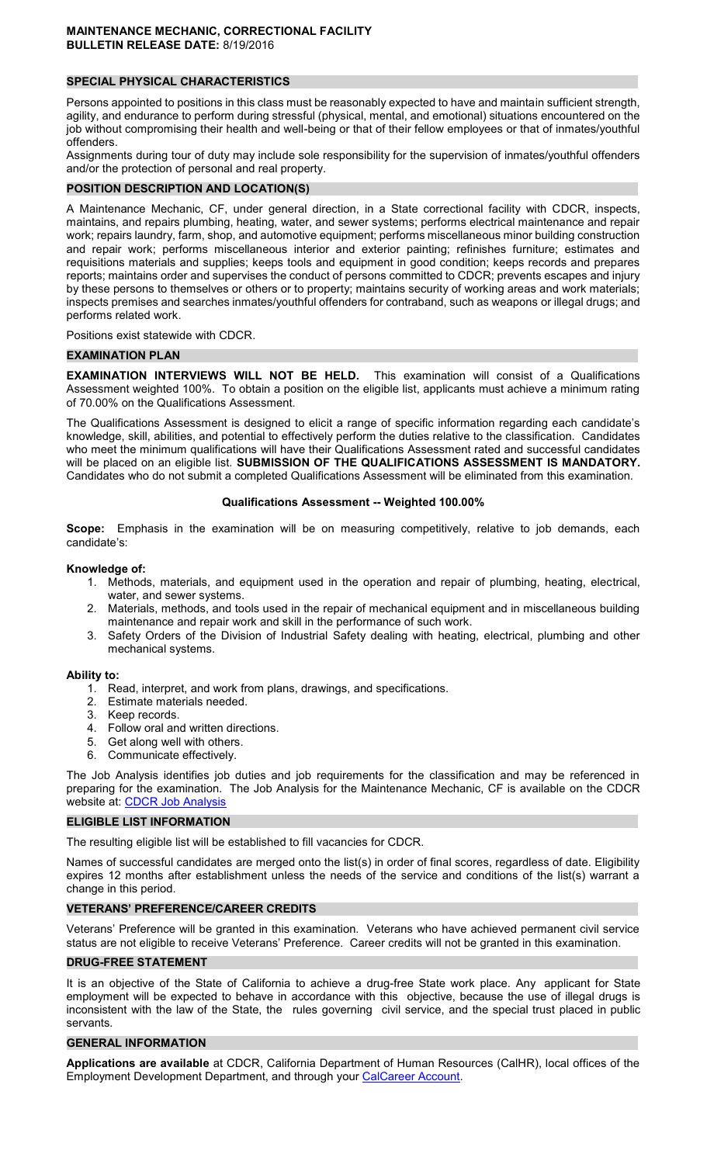## **SPECIAL PHYSICAL CHARACTERISTICS**

Persons appointed to positions in this class must be reasonably expected to have and maintain sufficient strength, agility, and endurance to perform during stressful (physical, mental, and emotional) situations encountered on the job without compromising their health and well-being or that of their fellow employees or that of inmates/youthful offenders.

Assignments during tour of duty may include sole responsibility for the supervision of inmates/youthful offenders and/or the protection of personal and real property.

## **POSITION DESCRIPTION AND LOCATION(S)**

A Maintenance Mechanic, CF, under general direction, in a State correctional facility with CDCR, inspects, maintains, and repairs plumbing, heating, water, and sewer systems; performs electrical maintenance and repair work; repairs laundry, farm, shop, and automotive equipment; performs miscellaneous minor building construction and repair work; performs miscellaneous interior and exterior painting; refinishes furniture; estimates and requisitions materials and supplies; keeps tools and equipment in good condition; keeps records and prepares reports; maintains order and supervises the conduct of persons committed to CDCR; prevents escapes and injury by these persons to themselves or others or to property; maintains security of working areas and work materials; inspects premises and searches inmates/youthful offenders for contraband, such as weapons or illegal drugs; and performs related work.

Positions exist statewide with CDCR.

#### **EXAMINATION PLAN**

**EXAMINATION INTERVIEWS WILL NOT BE HELD.** This examination will consist of a Qualifications Assessment weighted 100%. To obtain a position on the eligible list, applicants must achieve a minimum rating of 70.00% on the Qualifications Assessment.

The Qualifications Assessment is designed to elicit a range of specific information regarding each candidate's knowledge, skill, abilities, and potential to effectively perform the duties relative to the classification. Candidates who meet the minimum qualifications will have their Qualifications Assessment rated and successful candidates will be placed on an eligible list. **SUBMISSION OF THE QUALIFICATIONS ASSESSMENT IS MANDATORY.**  Candidates who do not submit a completed Qualifications Assessment will be eliminated from this examination.

#### **Qualifications Assessment -- Weighted 100.00%**

**Scope:** Emphasis in the examination will be on measuring competitively, relative to job demands, each candidate's:

#### **Knowledge of:**

- 1. Methods, materials, and equipment used in the operation and repair of plumbing, heating, electrical, water, and sewer systems.
- 2. Materials, methods, and tools used in the repair of mechanical equipment and in miscellaneous building maintenance and repair work and skill in the performance of such work.
- 3. Safety Orders of the Division of Industrial Safety dealing with heating, electrical, plumbing and other mechanical systems.

#### **Ability to:**

- 1. Read, interpret, and work from plans, drawings, and specifications.
- 2. Estimate materials needed.
- 3. Keep records.
- 4. Follow oral and written directions.
- 5. Get along well with others.
- 6. Communicate effectively.

The Job Analysis identifies job duties and job requirements for the classification and may be referenced in preparing for the examination. The Job Analysis for the Maintenance Mechanic, CF is available on the CDCR website at: CDCR Job Analysis

#### **ELIGIBLE LIST INFORMATION**

The resulting eligible list will be established to fill vacancies for CDCR.

Names of successful candidates are merged onto the list(s) in order of final scores, regardless of date. Eligibility expires 12 months after establishment unless the needs of the service and conditions of the list(s) warrant a change in this period.

## **VETERANS' PREFERENCE/CAREER CREDITS**

Veterans' Preference will be granted in this examination. Veterans who have achieved permanent civil service status are not eligible to receive Veterans' Preference. Career credits will not be granted in this examination.

## **DRUG-FREE STATEMENT**

It is an objective of the State of California to achieve a drug-free State work place. Any applicant for State employment will be expected to behave in accordance with this objective, because the use of illegal drugs is inconsistent with the law of the State, the rules governing civil service, and the special trust placed in public servants.

#### **GENERAL INFORMATION**

**Applications are available** at CDCR, California Department of Human Resources (CalHR), local offices of the Employment Development Department, and through your [CalCareer Account.](https://www.jobs.ca.gov/)